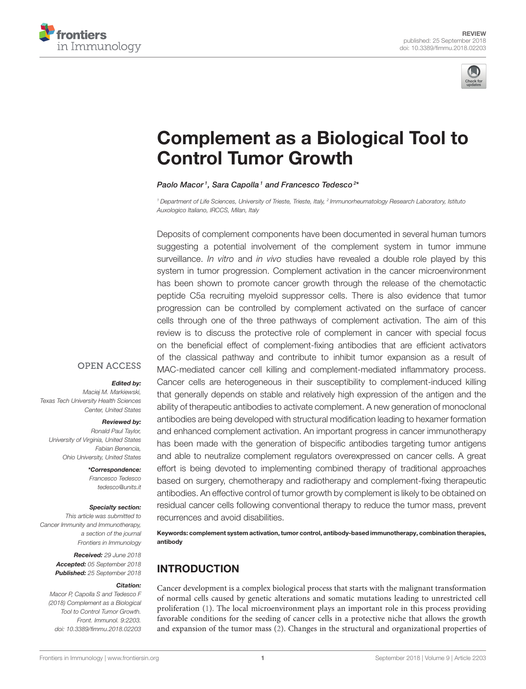



# [Complement as a Biological Tool to](https://www.frontiersin.org/articles/10.3389/fimmu.2018.02203/full) Control Tumor Growth

[Paolo Macor](http://loop.frontiersin.org/people/443321/overview)<sup>1</sup>, [Sara Capolla](http://loop.frontiersin.org/people/603724/overview)<sup>1</sup> and [Francesco Tedesco](http://loop.frontiersin.org/people/27704/overview)<sup>2\*</sup>

*<sup>1</sup> Department of Life Sciences, University of Trieste, Trieste, Italy, <sup>2</sup> Immunorheumatology Research Laboratory, Istituto Auxologico Italiano, IRCCS, Milan, Italy*

Deposits of complement components have been documented in several human tumors suggesting a potential involvement of the complement system in tumor immune surveillance. *In vitro* and *in vivo* studies have revealed a double role played by this system in tumor progression. Complement activation in the cancer microenvironment has been shown to promote cancer growth through the release of the chemotactic peptide C5a recruiting myeloid suppressor cells. There is also evidence that tumor progression can be controlled by complement activated on the surface of cancer cells through one of the three pathways of complement activation. The aim of this review is to discuss the protective role of complement in cancer with special focus on the beneficial effect of complement-fixing antibodies that are efficient activators of the classical pathway and contribute to inhibit tumor expansion as a result of MAC-mediated cancer cell killing and complement-mediated inflammatory process. Cancer cells are heterogeneous in their susceptibility to complement-induced killing that generally depends on stable and relatively high expression of the antigen and the ability of therapeutic antibodies to activate complement. A new generation of monoclonal antibodies are being developed with structural modification leading to hexamer formation and enhanced complement activation. An important progress in cancer immunotherapy has been made with the generation of bispecific antibodies targeting tumor antigens and able to neutralize complement regulators overexpressed on cancer cells. A great effort is being devoted to implementing combined therapy of traditional approaches based on surgery, chemotherapy and radiotherapy and complement-fixing therapeutic antibodies. An effective control of tumor growth by complement is likely to be obtained on residual cancer cells following conventional therapy to reduce the tumor mass, prevent recurrences and avoid disabilities.

Keywords: complement system activation, tumor control, antibody-based immunotherapy, combination therapies, antibody

# INTRODUCTION

Cancer development is a complex biological process that starts with the malignant transformation of normal cells caused by genetic alterations and somatic mutations leading to unrestricted cell proliferation [\(1\)](#page-7-0). The local microenvironment plays an important role in this process providing favorable conditions for the seeding of cancer cells in a protective niche that allows the growth and expansion of the tumor mass [\(2\)](#page-7-1). Changes in the structural and organizational properties of

## **OPEN ACCESS**

#### Edited by:

*Maciej M. Markiewski, Texas Tech University Health Sciences Center, United States*

#### Reviewed by:

*Ronald Paul Taylor, University of Virginia, United States Fabian Benencia, Ohio University, United States*

> \*Correspondence: *Francesco Tedesco [tedesco@units.it](mailto:tedesco@units.it)*

#### Specialty section:

*This article was submitted to Cancer Immunity and Immunotherapy, a section of the journal Frontiers in Immunology*

> Received: *29 June 2018* Accepted: *05 September 2018* Published: *25 September 2018*

#### Citation:

*Macor P, Capolla S and Tedesco F (2018) Complement as a Biological Tool to Control Tumor Growth. Front. Immunol. 9:2203. doi: [10.3389/fimmu.2018.02203](https://doi.org/10.3389/fimmu.2018.02203)*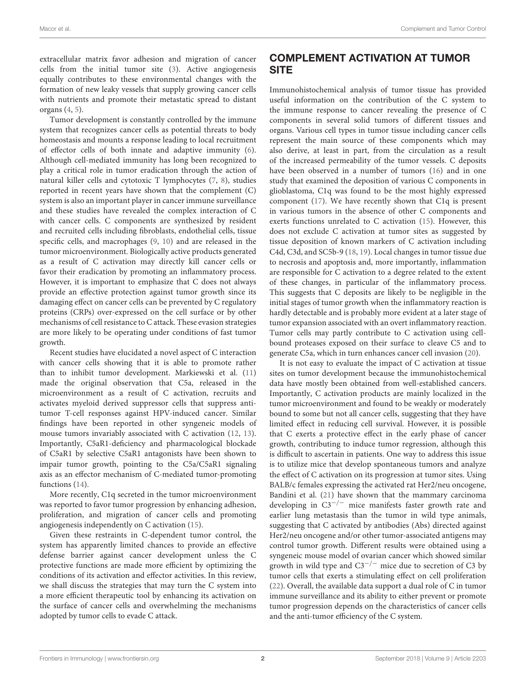extracellular matrix favor adhesion and migration of cancer cells from the initial tumor site [\(3\)](#page-7-2). Active angiogenesis equally contributes to these environmental changes with the formation of new leaky vessels that supply growing cancer cells with nutrients and promote their metastatic spread to distant organs [\(4,](#page-7-3) [5\)](#page-7-4).

Tumor development is constantly controlled by the immune system that recognizes cancer cells as potential threats to body homeostasis and mounts a response leading to local recruitment of effector cells of both innate and adaptive immunity [\(6\)](#page-7-5). Although cell-mediated immunity has long been recognized to play a critical role in tumor eradication through the action of natural killer cells and cytotoxic T lymphocytes [\(7,](#page-7-6) [8\)](#page-7-7), studies reported in recent years have shown that the complement (C) system is also an important player in cancer immune surveillance and these studies have revealed the complex interaction of C with cancer cells. C components are synthesized by resident and recruited cells including fibroblasts, endothelial cells, tissue specific cells, and macrophages [\(9,](#page-7-8) [10\)](#page-7-9) and are released in the tumor microenvironment. Biologically active products generated as a result of C activation may directly kill cancer cells or favor their eradication by promoting an inflammatory process. However, it is important to emphasize that C does not always provide an effective protection against tumor growth since its damaging effect on cancer cells can be prevented by C regulatory proteins (CRPs) over-expressed on the cell surface or by other mechanisms of cell resistance to C attack. These evasion strategies are more likely to be operating under conditions of fast tumor growth.

Recent studies have elucidated a novel aspect of C interaction with cancer cells showing that it is able to promote rather than to inhibit tumor development. Markiewski et al. [\(11\)](#page-7-10) made the original observation that C5a, released in the microenvironment as a result of C activation, recruits and activates myeloid derived suppressor cells that suppress antitumor T-cell responses against HPV-induced cancer. Similar findings have been reported in other syngeneic models of mouse tumors invariably associated with C activation [\(12,](#page-7-11) [13\)](#page-7-12). Importantly, C5aR1-deficiency and pharmacological blockade of C5aR1 by selective C5aR1 antagonists have been shown to impair tumor growth, pointing to the C5a/C5aR1 signaling axis as an effector mechanism of C-mediated tumor-promoting functions [\(14\)](#page-7-13).

More recently, C1q secreted in the tumor microenvironment was reported to favor tumor progression by enhancing adhesion, proliferation, and migration of cancer cells and promoting angiogenesis independently on C activation [\(15\)](#page-7-14).

Given these restraints in C-dependent tumor control, the system has apparently limited chances to provide an effective defense barrier against cancer development unless the C protective functions are made more efficient by optimizing the conditions of its activation and effector activities. In this review, we shall discuss the strategies that may turn the C system into a more efficient therapeutic tool by enhancing its activation on the surface of cancer cells and overwhelming the mechanisms adopted by tumor cells to evade C attack.

# COMPLEMENT ACTIVATION AT TUMOR **SITE**

Immunohistochemical analysis of tumor tissue has provided useful information on the contribution of the C system to the immune response to cancer revealing the presence of C components in several solid tumors of different tissues and organs. Various cell types in tumor tissue including cancer cells represent the main source of these components which may also derive, at least in part, from the circulation as a result of the increased permeability of the tumor vessels. C deposits have been observed in a number of tumors [\(16\)](#page-7-15) and in one study that examined the deposition of various C components in glioblastoma, C1q was found to be the most highly expressed component [\(17\)](#page-7-16). We have recently shown that C1q is present in various tumors in the absence of other C components and exerts functions unrelated to C activation [\(15\)](#page-7-14). However, this does not exclude C activation at tumor sites as suggested by tissue deposition of known markers of C activation including C4d, C3d, and SC5b-9 [\(18,](#page-7-17) [19\)](#page-7-18). Local changes in tumor tissue due to necrosis and apoptosis and, more importantly, inflammation are responsible for C activation to a degree related to the extent of these changes, in particular of the inflammatory process. This suggests that C deposits are likely to be negligible in the initial stages of tumor growth when the inflammatory reaction is hardly detectable and is probably more evident at a later stage of tumor expansion associated with an overt inflammatory reaction. Tumor cells may partly contribute to C activation using cellbound proteases exposed on their surface to cleave C5 and to generate C5a, which in turn enhances cancer cell invasion [\(20\)](#page-7-19).

It is not easy to evaluate the impact of C activation at tissue sites on tumor development because the immunohistochemical data have mostly been obtained from well-established cancers. Importantly, C activation products are mainly localized in the tumor microenvironment and found to be weakly or moderately bound to some but not all cancer cells, suggesting that they have limited effect in reducing cell survival. However, it is possible that C exerts a protective effect in the early phase of cancer growth, contributing to induce tumor regression, although this is difficult to ascertain in patients. One way to address this issue is to utilize mice that develop spontaneous tumors and analyze the effect of C activation on its progression at tumor sites. Using BALB/c females expressing the activated rat Her2/neu oncogene, Bandini et al. [\(21\)](#page-7-20) have shown that the mammary carcinoma developing in C3−/<sup>−</sup> mice manifests faster growth rate and earlier lung metastasis than the tumor in wild type animals, suggesting that C activated by antibodies (Abs) directed against Her2/neu oncogene and/or other tumor-associated antigens may control tumor growth. Different results were obtained using a syngeneic mouse model of ovarian cancer which showed similar growth in wild type and  $C3^{-/-}$  mice due to secretion of C3 by tumor cells that exerts a stimulating effect on cell proliferation [\(22\)](#page-8-0). Overall, the available data support a dual role of C in tumor immune surveillance and its ability to either prevent or promote tumor progression depends on the characteristics of cancer cells and the anti-tumor efficiency of the C system.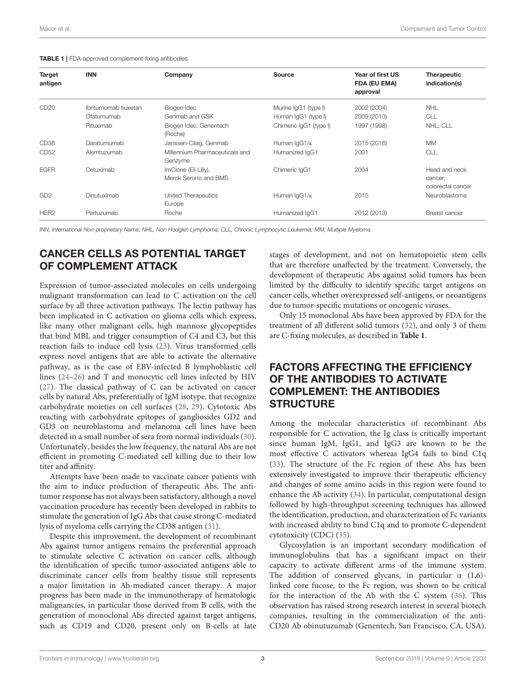<span id="page-2-0"></span>

|  |  | <b>TABLE 1</b>   FDA-approved complement-fixing antibodies. |  |
|--|--|-------------------------------------------------------------|--|
|--|--|-------------------------------------------------------------|--|

| Target<br>antigen | <b>INN</b>           | Company                                      | <b>Source</b>            | Year of first US<br>FDA (EU EMA)<br>approval | <b>Therapeutic</b><br>indication(s)           |
|-------------------|----------------------|----------------------------------------------|--------------------------|----------------------------------------------|-----------------------------------------------|
| CD <sub>20</sub>  | Ibritumomab tiuxetan | Biogen Idec                                  | Murine IgG1 (type I)     | 2002 (2004)                                  | <b>NHL</b>                                    |
|                   | Ofatumumab           | Genmab and GSK                               | Human IgG1 (type I)      | 2009 (2010)                                  | CLL                                           |
|                   | Rituximab            | Biogen Idec, Genentech<br>(Roche)            | Chimeric IgG1 (type I)   | 1997 (1998)                                  | NHL; CLL                                      |
| CD <sub>38</sub>  | Daratumumab          | Janssen-Cilag, Genmab                        | Human IgG1/ <sub>K</sub> | 2015 (2016)                                  | <b>MM</b>                                     |
| CD <sub>52</sub>  | Alemtuzumab          | Millennium Pharmaceuticals and<br>Genzyme    | Humanized IqG1           | 2001                                         | <b>CLL</b>                                    |
| <b>EGFR</b>       | Cetuximab            | ImClone (Eli Lilly),<br>Merck Serono and BMS | Chimeric IqG1            | 2004                                         | Head and neck<br>cancer;<br>colorectal cancer |
| GD <sub>2</sub>   | Dinutuximab          | United Therapeutics<br>Europe                | Human IgG1/K             | 2015                                         | Neuroblastoma                                 |
| HER <sub>2</sub>  | Pertuzumab           | Roche                                        | Humanized IqG1           | 2012 (2013)                                  | <b>Breast cancer</b>                          |

*INN, International Non-proprietary Name; NHL, Non Hodgkin Lymphoma; CLL, Chronic Lymphocytic Leukemia; MM, Multiple Myeloma.*

# CANCER CELLS AS POTENTIAL TARGET OF COMPLEMENT ATTACK

Expression of tumor-associated molecules on cells undergoing malignant transformation can lead to C activation on the cell surface by all three activation pathways. The lectin pathway has been implicated in C activation on glioma cells which express, like many other malignant cells, high mannose glycopeptides that bind MBL and trigger consumption of C4 and C3, but this reaction fails to induce cell lysis [\(23\)](#page-8-1). Virus transformed cells express novel antigens that are able to activate the alternative pathway, as is the case of EBV-infected B lymphoblastic cell lines [\(24](#page-8-2)[–26\)](#page-8-3) and T and monocytic cell lines infected by HIV [\(27\)](#page-8-4). The classical pathway of C can be activated on cancer cells by natural Abs, preferentially of IgM isotype, that recognize carbohydrate moieties on cell surfaces [\(28,](#page-8-5) [29\)](#page-8-6). Cytotoxic Abs reacting with carbohydrate epitopes of gangliosides GD2 and GD3 on neuroblastoma and melanoma cell lines have been detected in a small number of sera from normal individuals [\(30\)](#page-8-7). Unfortunately, besides the low frequency, the natural Abs are not efficient in promoting C-mediated cell killing due to their low titer and affinity.

Attempts have been made to vaccinate cancer patients with the aim to induce production of therapeutic Abs. The antitumor response has not always been satisfactory, although a novel vaccination procedure has recently been developed in rabbits to stimulate the generation of IgG Abs that cause strong C-mediated lysis of myeloma cells carrying the CD38 antigen [\(31\)](#page-8-8).

Despite this improvement, the development of recombinant Abs against tumor antigens remains the preferential approach to stimulate selective C activation on cancer cells, although the identification of specific tumor-associated antigens able to discriminate cancer cells from healthy tissue still represents a major limitation in Ab-mediated cancer therapy. A major progress has been made in the immunotherapy of hematologic malignancies, in particular those derived from B cells, with the generation of monoclonal Abs directed against target antigens, such as CD19 and CD20, present only on B-cells at late stages of development, and not on hematopoietic stem cells that are therefore unaffected by the treatment. Conversely, the development of therapeutic Abs against solid tumors has been limited by the difficulty to identify specific target antigens on cancer cells, whether overexpressed self-antigens, or neoantigens due to tumor-specific mutations or oncogenic viruses.

Only 15 monoclonal Abs have been approved by FDA for the treatment of all different solid tumors [\(32\)](#page-8-9), and only 3 of them are C-fixing molecules, as described in **[Table 1](#page-2-0)**.

# FACTORS AFFECTING THE EFFICIENCY OF THE ANTIBODIES TO ACTIVATE COMPLEMENT: THE ANTIBODIES **STRUCTURE**

Among the molecular characteristics of recombinant Abs responsible for C activation, the Ig class is critically important since human IgM, IgG1, and IgG3 are known to be the most effective C activators whereas IgG4 fails to bind C1q [\(33\)](#page-8-10). The structure of the Fc region of these Abs has been extensively investigated to improve their therapeutic efficiency and changes of some amino acids in this region were found to enhance the Ab activity [\(34\)](#page-8-11). In particular, computational design followed by high-throughput screening techniques has allowed the identification, production, and characterization of Fc variants with increased ability to bind C1q and to promote C-dependent cytotoxicity (CDC) [\(35\)](#page-8-12).

Glycosylation is an important secondary modification of immunoglobulins that has a significant impact on their capacity to activate different arms of the immune system. The addition of conserved glycans, in particular  $\alpha$  (1,6)linked core fucose, to the Fc region, was shown to be critical for the interaction of the Ab with the C system [\(36\)](#page-8-13). This observation has raised strong research interest in several biotech companies, resulting in the commercialization of the anti-CD20 Ab obinutuzumab (Genentech, San Francisco, CA, USA).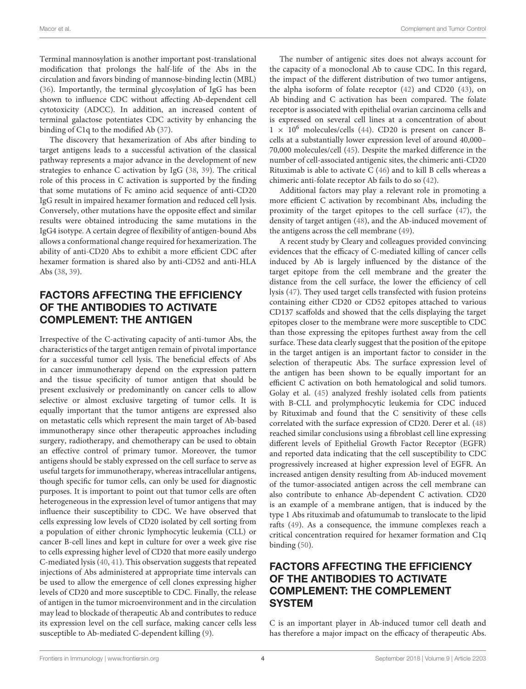Terminal mannosylation is another important post-translational modification that prolongs the half-life of the Abs in the circulation and favors binding of mannose-binding lectin (MBL) [\(36\)](#page-8-13). Importantly, the terminal glycosylation of IgG has been shown to influence CDC without affecting Ab-dependent cell cytotoxicity (ADCC). In addition, an increased content of terminal galactose potentiates CDC activity by enhancing the binding of C1q to the modified Ab [\(37\)](#page-8-14).

The discovery that hexamerization of Abs after binding to target antigens leads to a successful activation of the classical pathway represents a major advance in the development of new strategies to enhance C activation by IgG [\(38,](#page-8-15) [39\)](#page-8-16). The critical role of this process in C activation is supported by the finding that some mutations of Fc amino acid sequence of anti-CD20 IgG result in impaired hexamer formation and reduced cell lysis. Conversely, other mutations have the opposite effect and similar results were obtained introducing the same mutations in the IgG4 isotype. A certain degree of flexibility of antigen-bound Abs allows a conformational change required for hexamerization. The ability of anti-CD20 Abs to exhibit a more efficient CDC after hexamer formation is shared also by anti-CD52 and anti-HLA Abs [\(38,](#page-8-15) [39\)](#page-8-16).

# FACTORS AFFECTING THE EFFICIENCY OF THE ANTIBODIES TO ACTIVATE COMPLEMENT: THE ANTIGEN

Irrespective of the C-activating capacity of anti-tumor Abs, the characteristics of the target antigen remain of pivotal importance for a successful tumor cell lysis. The beneficial effects of Abs in cancer immunotherapy depend on the expression pattern and the tissue specificity of tumor antigen that should be present exclusively or predominantly on cancer cells to allow selective or almost exclusive targeting of tumor cells. It is equally important that the tumor antigens are expressed also on metastatic cells which represent the main target of Ab-based immunotherapy since other therapeutic approaches including surgery, radiotherapy, and chemotherapy can be used to obtain an effective control of primary tumor. Moreover, the tumor antigens should be stably expressed on the cell surface to serve as useful targets for immunotherapy, whereas intracellular antigens, though specific for tumor cells, can only be used for diagnostic purposes. It is important to point out that tumor cells are often heterogeneous in the expression level of tumor antigens that may influence their susceptibility to CDC. We have observed that cells expressing low levels of CD20 isolated by cell sorting from a population of either chronic lymphocytic leukemia (CLL) or cancer B-cell lines and kept in culture for over a week give rise to cells expressing higher level of CD20 that more easily undergo C-mediated lysis [\(40,](#page-8-17) [41\)](#page-8-18). This observation suggests that repeated injections of Abs administered at appropriate time intervals can be used to allow the emergence of cell clones expressing higher levels of CD20 and more susceptible to CDC. Finally, the release of antigen in the tumor microenvironment and in the circulation may lead to blockade of therapeutic Ab and contributes to reduce its expression level on the cell surface, making cancer cells less susceptible to Ab-mediated C-dependent killing [\(9\)](#page-7-8).

The number of antigenic sites does not always account for the capacity of a monoclonal Ab to cause CDC. In this regard, the impact of the different distribution of two tumor antigens, the alpha isoform of folate receptor [\(42\)](#page-8-19) and CD20 [\(43\)](#page-8-20), on Ab binding and C activation has been compared. The folate receptor is associated with epithelial ovarian carcinoma cells and is expressed on several cell lines at a concentration of about  $1 \times 10^6$  molecules/cells [\(44\)](#page-8-21). CD20 is present on cancer Bcells at a substantially lower expression level of around 40,000– 70,000 molecules/cell [\(45\)](#page-8-22). Despite the marked difference in the number of cell-associated antigenic sites, the chimeric anti-CD20 Rituximab is able to activate C [\(46\)](#page-8-23) and to kill B cells whereas a chimeric anti-folate receptor Ab fails to do so [\(42\)](#page-8-19).

Additional factors may play a relevant role in promoting a more efficient C activation by recombinant Abs, including the proximity of the target epitopes to the cell surface [\(47\)](#page-8-24), the density of target antigen [\(48\)](#page-8-25), and the Ab-induced movement of the antigens across the cell membrane [\(49\)](#page-8-26).

A recent study by Cleary and colleagues provided convincing evidences that the efficacy of C-mediated killing of cancer cells induced by Ab is largely influenced by the distance of the target epitope from the cell membrane and the greater the distance from the cell surface, the lower the efficiency of cell lysis [\(47\)](#page-8-24). They used target cells transfected with fusion proteins containing either CD20 or CD52 epitopes attached to various CD137 scaffolds and showed that the cells displaying the target epitopes closer to the membrane were more susceptible to CDC than those expressing the epitopes furthest away from the cell surface. These data clearly suggest that the position of the epitope in the target antigen is an important factor to consider in the selection of therapeutic Abs. The surface expression level of the antigen has been shown to be equally important for an efficient C activation on both hematological and solid tumors. Golay et al. [\(45\)](#page-8-22) analyzed freshly isolated cells from patients with B-CLL and prolymphocytic leukemia for CDC induced by Rituximab and found that the C sensitivity of these cells correlated with the surface expression of CD20. Derer et al. [\(48\)](#page-8-25) reached similar conclusions using a fibroblast cell line expressing different levels of Epithelial Growth Factor Receptor (EGFR) and reported data indicating that the cell susceptibility to CDC progressively increased at higher expression level of EGFR. An increased antigen density resulting from Ab-induced movement of the tumor-associated antigen across the cell membrane can also contribute to enhance Ab-dependent C activation. CD20 is an example of a membrane antigen, that is induced by the type 1 Abs rituximab and ofatumumab to translocate to the lipid rafts [\(49\)](#page-8-26). As a consequence, the immune complexes reach a critical concentration required for hexamer formation and C1q binding [\(50\)](#page-8-27).

# FACTORS AFFECTING THE EFFICIENCY OF THE ANTIBODIES TO ACTIVATE COMPLEMENT: THE COMPLEMENT **SYSTEM**

C is an important player in Ab-induced tumor cell death and has therefore a major impact on the efficacy of therapeutic Abs.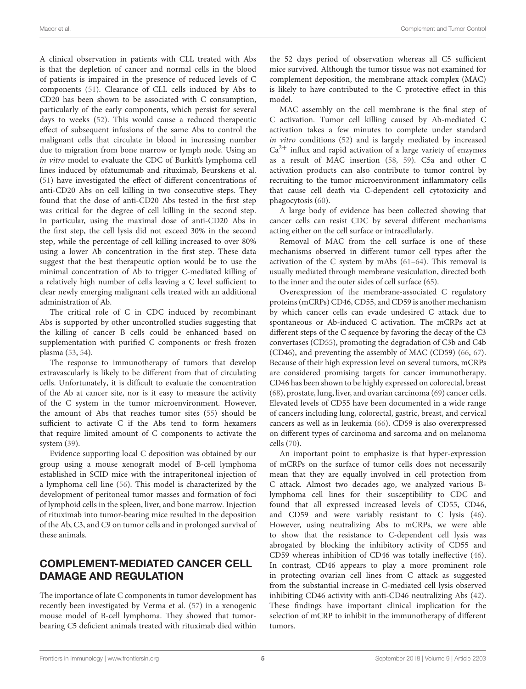A clinical observation in patients with CLL treated with Abs is that the depletion of cancer and normal cells in the blood of patients is impaired in the presence of reduced levels of C components [\(51\)](#page-8-28). Clearance of CLL cells induced by Abs to CD20 has been shown to be associated with C consumption, particularly of the early components, which persist for several days to weeks [\(52\)](#page-8-29). This would cause a reduced therapeutic effect of subsequent infusions of the same Abs to control the malignant cells that circulate in blood in increasing number due to migration from bone marrow or lymph node. Using an in vitro model to evaluate the CDC of Burkitt's lymphoma cell lines induced by ofatumumab and rituximab, Beurskens et al. [\(51\)](#page-8-28) have investigated the effect of different concentrations of anti-CD20 Abs on cell killing in two consecutive steps. They found that the dose of anti-CD20 Abs tested in the first step was critical for the degree of cell killing in the second step. In particular, using the maximal dose of anti-CD20 Abs in the first step, the cell lysis did not exceed 30% in the second step, while the percentage of cell killing increased to over 80% using a lower Ab concentration in the first step. These data suggest that the best therapeutic option would be to use the minimal concentration of Ab to trigger C-mediated killing of a relatively high number of cells leaving a C level sufficient to clear newly emerging malignant cells treated with an additional administration of Ab.

The critical role of C in CDC induced by recombinant Abs is supported by other uncontrolled studies suggesting that the killing of cancer B cells could be enhanced based on supplementation with purified C components or fresh frozen plasma [\(53,](#page-8-30) [54\)](#page-8-31).

The response to immunotherapy of tumors that develop extravascularly is likely to be different from that of circulating cells. Unfortunately, it is difficult to evaluate the concentration of the Ab at cancer site, nor is it easy to measure the activity of the C system in the tumor microenvironment. However, the amount of Abs that reaches tumor sites [\(55\)](#page-8-32) should be sufficient to activate C if the Abs tend to form hexamers that require limited amount of C components to activate the system [\(39\)](#page-8-16).

Evidence supporting local C deposition was obtained by our group using a mouse xenograft model of B-cell lymphoma established in SCID mice with the intraperitoneal injection of a lymphoma cell line [\(56\)](#page-8-33). This model is characterized by the development of peritoneal tumor masses and formation of foci of lymphoid cells in the spleen, liver, and bone marrow. Injection of rituximab into tumor-bearing mice resulted in the deposition of the Ab, C3, and C9 on tumor cells and in prolonged survival of these animals.

# COMPLEMENT-MEDIATED CANCER CELL DAMAGE AND REGULATION

The importance of late C components in tumor development has recently been investigated by Verma et al. [\(57\)](#page-8-34) in a xenogenic mouse model of B-cell lymphoma. They showed that tumorbearing C5 deficient animals treated with rituximab died within

the 52 days period of observation whereas all C5 sufficient mice survived. Although the tumor tissue was not examined for complement deposition, the membrane attack complex (MAC) is likely to have contributed to the C protective effect in this model.

MAC assembly on the cell membrane is the final step of C activation. Tumor cell killing caused by Ab-mediated C activation takes a few minutes to complete under standard in vitro conditions [\(52\)](#page-8-29) and is largely mediated by increased  $Ca<sup>2+</sup>$  influx and rapid activation of a large variety of enzymes as a result of MAC insertion [\(58,](#page-8-35) [59\)](#page-8-36). C5a and other C activation products can also contribute to tumor control by recruiting to the tumor microenvironment inflammatory cells that cause cell death via C-dependent cell cytotoxicity and phagocytosis [\(60\)](#page-9-0).

A large body of evidence has been collected showing that cancer cells can resist CDC by several different mechanisms acting either on the cell surface or intracellularly.

Removal of MAC from the cell surface is one of these mechanisms observed in different tumor cell types after the activation of the C system by mAbs [\(61](#page-9-1)[–64\)](#page-9-2). This removal is usually mediated through membrane vesiculation, directed both to the inner and the outer sides of cell surface [\(65\)](#page-9-3).

Overexpression of the membrane-associated C regulatory proteins (mCRPs) CD46, CD55, and CD59 is another mechanism by which cancer cells can evade undesired C attack due to spontaneous or Ab-induced C activation. The mCRPs act at different steps of the C sequence by favoring the decay of the C3 convertases (CD55), promoting the degradation of C3b and C4b (CD46), and preventing the assembly of MAC (CD59) [\(66,](#page-9-4) [67\)](#page-9-5). Because of their high expression level on several tumors, mCRPs are considered promising targets for cancer immunotherapy. CD46 has been shown to be highly expressed on colorectal, breast [\(68\)](#page-9-6), prostate, lung, liver, and ovarian carcinoma [\(69\)](#page-9-7) cancer cells. Elevated levels of CD55 have been documented in a wide range of cancers including lung, colorectal, gastric, breast, and cervical cancers as well as in leukemia [\(66\)](#page-9-4). CD59 is also overexpressed on different types of carcinoma and sarcoma and on melanoma cells [\(70\)](#page-9-8).

An important point to emphasize is that hyper-expression of mCRPs on the surface of tumor cells does not necessarily mean that they are equally involved in cell protection from C attack. Almost two decades ago, we analyzed various Blymphoma cell lines for their susceptibility to CDC and found that all expressed increased levels of CD55, CD46, and CD59 and were variably resistant to C lysis [\(46\)](#page-8-23). However, using neutralizing Abs to mCRPs, we were able to show that the resistance to C-dependent cell lysis was abrogated by blocking the inhibitory activity of CD55 and CD59 whereas inhibition of CD46 was totally ineffective [\(46\)](#page-8-23). In contrast, CD46 appears to play a more prominent role in protecting ovarian cell lines from C attack as suggested from the substantial increase in C-mediated cell lysis observed inhibiting CD46 activity with anti-CD46 neutralizing Abs [\(42\)](#page-8-19). These findings have important clinical implication for the selection of mCRP to inhibit in the immunotherapy of different tumors.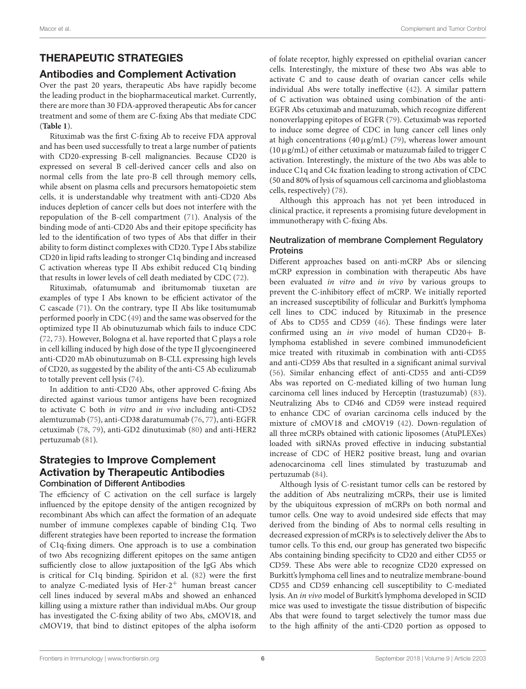# THERAPEUTIC STRATEGIES

## Antibodies and Complement Activation

Over the past 20 years, therapeutic Abs have rapidly become the leading product in the biopharmaceutical market. Currently, there are more than 30 FDA-approved therapeutic Abs for cancer treatment and some of them are C-fixing Abs that mediate CDC (**[Table 1](#page-2-0)**).

Rituximab was the first C-fixing Ab to receive FDA approval and has been used successfully to treat a large number of patients with CD20-expressing B-cell malignancies. Because CD20 is expressed on several B cell-derived cancer cells and also on normal cells from the late pro-B cell through memory cells, while absent on plasma cells and precursors hematopoietic stem cells, it is understandable why treatment with anti-CD20 Abs induces depletion of cancer cells but does not interfere with the repopulation of the B-cell compartment [\(71\)](#page-9-9). Analysis of the binding mode of anti-CD20 Abs and their epitope specificity has led to the identification of two types of Abs that differ in their ability to form distinct complexes with CD20. Type I Abs stabilize CD20 in lipid rafts leading to stronger C1q binding and increased C activation whereas type II Abs exhibit reduced C1q binding that results in lower levels of cell death mediated by CDC [\(72\)](#page-9-10).

Rituximab, ofatumumab and ibritumomab tiuxetan are examples of type I Abs known to be efficient activator of the C cascade [\(71\)](#page-9-9). On the contrary, type II Abs like tositumumab performed poorly in CDC [\(49\)](#page-8-26) and the same was observed for the optimized type II Ab obinutuzumab which fails to induce CDC [\(72,](#page-9-10) [73\)](#page-9-11). However, Bologna et al. have reported that C plays a role in cell killing induced by high dose of the type II glycoengineered anti-CD20 mAb obinutuzumab on B-CLL expressing high levels of CD20, as suggested by the ability of the anti-C5 Ab eculizumab to totally prevent cell lysis [\(74\)](#page-9-12).

In addition to anti-CD20 Abs, other approved C-fixing Abs directed against various tumor antigens have been recognized to activate C both in vitro and in vivo including anti-CD52 alemtuzumab [\(75\)](#page-9-13), anti-CD38 daratumumab [\(76,](#page-9-14) [77\)](#page-9-15), anti-EGFR cetuximab [\(78,](#page-9-16) [79\)](#page-9-17), anti-GD2 dinutuximab [\(80\)](#page-9-18) and anti-HER2 pertuzumab [\(81\)](#page-9-19).

#### Strategies to Improve Complement Activation by Therapeutic Antibodies Combination of Different Antibodies

The efficiency of C activation on the cell surface is largely influenced by the epitope density of the antigen recognized by recombinant Abs which can affect the formation of an adequate number of immune complexes capable of binding C1q. Two different strategies have been reported to increase the formation of C1q-fixing dimers. One approach is to use a combination of two Abs recognizing different epitopes on the same antigen sufficiently close to allow juxtaposition of the IgG Abs which is critical for C1q binding. Spiridon et al. [\(82\)](#page-9-20) were the first to analyze C-mediated lysis of Her- $2^+$  human breast cancer cell lines induced by several mAbs and showed an enhanced killing using a mixture rather than individual mAbs. Our group has investigated the C-fixing ability of two Abs, cMOV18, and cMOV19, that bind to distinct epitopes of the alpha isoform of folate receptor, highly expressed on epithelial ovarian cancer cells. Interestingly, the mixture of these two Abs was able to activate C and to cause death of ovarian cancer cells while individual Abs were totally ineffective [\(42\)](#page-8-19). A similar pattern of C activation was obtained using combination of the anti-EGFR Abs cetuximab and matuzumab, which recognize different nonoverlapping epitopes of EGFR [\(79\)](#page-9-17). Cetuximab was reported to induce some degree of CDC in lung cancer cell lines only at high concentrations (40  $\mu$ g/mL) [\(79\)](#page-9-17), whereas lower amount  $(10 \,\mu\text{g/mL})$  of either cetuximab or matuzumab failed to trigger C activation. Interestingly, the mixture of the two Abs was able to induce C1q and C4c fixation leading to strong activation of CDC (50 and 80% of lysis of squamous cell carcinoma and glioblastoma cells, respectively) [\(78\)](#page-9-16).

Although this approach has not yet been introduced in clinical practice, it represents a promising future development in immunotherapy with C-fixing Abs.

#### Neutralization of membrane Complement Regulatory **Proteins**

Different approaches based on anti-mCRP Abs or silencing mCRP expression in combination with therapeutic Abs have been evaluated in vitro and in vivo by various groups to prevent the C-inhibitory effect of mCRP. We initially reported an increased susceptibility of follicular and Burkitt's lymphoma cell lines to CDC induced by Rituximab in the presence of Abs to CD55 and CD59 [\(46\)](#page-8-23). These findings were later confirmed using an in vivo model of human CD20+ Blymphoma established in severe combined immunodeficient mice treated with rituximab in combination with anti-CD55 and anti-CD59 Abs that resulted in a significant animal survival [\(56\)](#page-8-33). Similar enhancing effect of anti-CD55 and anti-CD59 Abs was reported on C-mediated killing of two human lung carcinoma cell lines induced by Herceptin (trastuzumab) [\(83\)](#page-9-21). Neutralizing Abs to CD46 and CD59 were instead required to enhance CDC of ovarian carcinoma cells induced by the mixture of cMOV18 and cMOV19 [\(42\)](#page-8-19). Down-regulation of all three mCRPs obtained with cationic liposomes (AtuPLEXes) loaded with siRNAs proved effective in inducing substantial increase of CDC of HER2 positive breast, lung and ovarian adenocarcinoma cell lines stimulated by trastuzumab and pertuzumab [\(84\)](#page-9-22).

Although lysis of C-resistant tumor cells can be restored by the addition of Abs neutralizing mCRPs, their use is limited by the ubiquitous expression of mCRPs on both normal and tumor cells. One way to avoid undesired side effects that may derived from the binding of Abs to normal cells resulting in decreased expression of mCRPs is to selectively deliver the Abs to tumor cells. To this end, our group has generated two bispecific Abs containing binding specificity to CD20 and either CD55 or CD59. These Abs were able to recognize CD20 expressed on Burkitt's lymphoma cell lines and to neutralize membrane-bound CD55 and CD59 enhancing cell susceptibility to C-mediated lysis. An in vivo model of Burkitt's lymphoma developed in SCID mice was used to investigate the tissue distribution of bispecific Abs that were found to target selectively the tumor mass due to the high affinity of the anti-CD20 portion as opposed to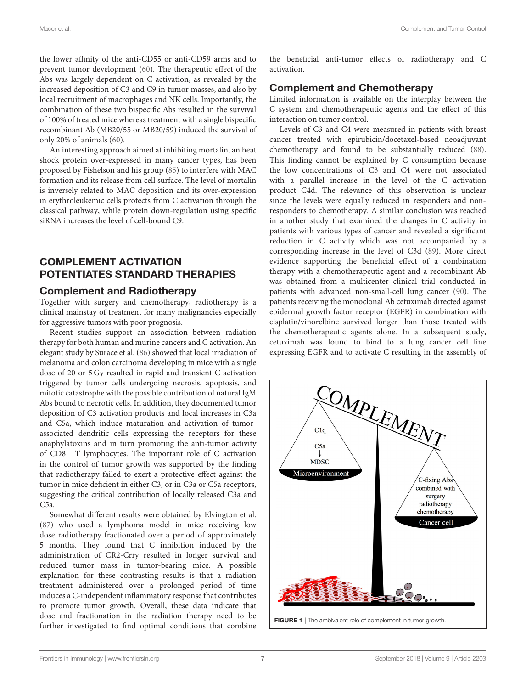the lower affinity of the anti-CD55 or anti-CD59 arms and to prevent tumor development [\(60\)](#page-9-0). The therapeutic effect of the Abs was largely dependent on C activation, as revealed by the increased deposition of C3 and C9 in tumor masses, and also by local recruitment of macrophages and NK cells. Importantly, the combination of these two bispecific Abs resulted in the survival of 100% of treated mice whereas treatment with a single bispecific recombinant Ab (MB20/55 or MB20/59) induced the survival of only 20% of animals [\(60\)](#page-9-0).

An interesting approach aimed at inhibiting mortalin, an heat shock protein over-expressed in many cancer types, has been proposed by Fishelson and his group [\(85\)](#page-9-23) to interfere with MAC formation and its release from cell surface. The level of mortalin is inversely related to MAC deposition and its over-expression in erythroleukemic cells protects from C activation through the classical pathway, while protein down-regulation using specific siRNA increases the level of cell-bound C9.

# COMPLEMENT ACTIVATION POTENTIATES STANDARD THERAPIES

#### Complement and Radiotherapy

Together with surgery and chemotherapy, radiotherapy is a clinical mainstay of treatment for many malignancies especially for aggressive tumors with poor prognosis.

Recent studies support an association between radiation therapy for both human and murine cancers and C activation. An elegant study by Surace et al. [\(86\)](#page-9-24) showed that local irradiation of melanoma and colon carcinoma developing in mice with a single dose of 20 or 5 Gy resulted in rapid and transient C activation triggered by tumor cells undergoing necrosis, apoptosis, and mitotic catastrophe with the possible contribution of natural IgM Abs bound to necrotic cells. In addition, they documented tumor deposition of C3 activation products and local increases in C3a and C5a, which induce maturation and activation of tumorassociated dendritic cells expressing the receptors for these anaphylatoxins and in turn promoting the anti-tumor activity of  $CD8<sup>+</sup>$  T lymphocytes. The important role of C activation in the control of tumor growth was supported by the finding that radiotherapy failed to exert a protective effect against the tumor in mice deficient in either C3, or in C3a or C5a receptors, suggesting the critical contribution of locally released C3a and C5a.

Somewhat different results were obtained by Elvington et al. [\(87\)](#page-9-25) who used a lymphoma model in mice receiving low dose radiotherapy fractionated over a period of approximately 5 months. They found that C inhibition induced by the administration of CR2-Crry resulted in longer survival and reduced tumor mass in tumor-bearing mice. A possible explanation for these contrasting results is that a radiation treatment administered over a prolonged period of time induces a C-independent inflammatory response that contributes to promote tumor growth. Overall, these data indicate that dose and fractionation in the radiation therapy need to be further investigated to find optimal conditions that combine

the beneficial anti-tumor effects of radiotherapy and C activation.

# Complement and Chemotherapy

Limited information is available on the interplay between the C system and chemotherapeutic agents and the effect of this interaction on tumor control.

Levels of C3 and C4 were measured in patients with breast cancer treated with epirubicin/docetaxel-based neoadjuvant chemotherapy and found to be substantially reduced [\(88\)](#page-9-26). This finding cannot be explained by C consumption because the low concentrations of C3 and C4 were not associated with a parallel increase in the level of the C activation product C4d. The relevance of this observation is unclear since the levels were equally reduced in responders and nonresponders to chemotherapy. A similar conclusion was reached in another study that examined the changes in C activity in patients with various types of cancer and revealed a significant reduction in C activity which was not accompanied by a corresponding increase in the level of C3d [\(89\)](#page-9-27). More direct evidence supporting the beneficial effect of a combination therapy with a chemotherapeutic agent and a recombinant Ab was obtained from a multicenter clinical trial conducted in patients with advanced non-small-cell lung cancer [\(90\)](#page-9-28). The patients receiving the monoclonal Ab cetuximab directed against epidermal growth factor receptor (EGFR) in combination with cisplatin/vinorelbine survived longer than those treated with the chemotherapeutic agents alone. In a subsequent study, cetuximab was found to bind to a lung cancer cell line expressing EGFR and to activate C resulting in the assembly of

<span id="page-6-0"></span>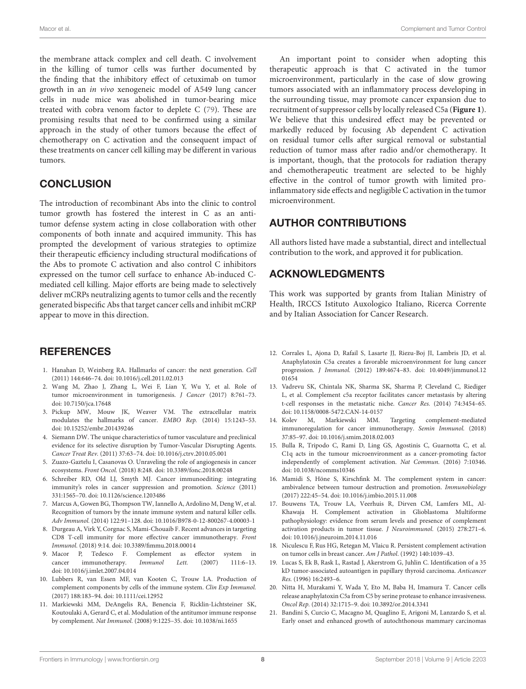Macor et al. Complement and Tumor Control

the membrane attack complex and cell death. C involvement in the killing of tumor cells was further documented by the finding that the inhibitory effect of cetuximab on tumor growth in an in vivo xenogeneic model of A549 lung cancer cells in nude mice was abolished in tumor-bearing mice treated with cobra venom factor to deplete C [\(79\)](#page-9-17). These are promising results that need to be confirmed using a similar approach in the study of other tumors because the effect of chemotherapy on C activation and the consequent impact of these treatments on cancer cell killing may be different in various tumors.

## **CONCLUSION**

The introduction of recombinant Abs into the clinic to control tumor growth has fostered the interest in C as an antitumor defense system acting in close collaboration with other components of both innate and acquired immunity. This has prompted the development of various strategies to optimize their therapeutic efficiency including structural modifications of the Abs to promote C activation and also control C inhibitors expressed on the tumor cell surface to enhance Ab-induced Cmediated cell killing. Major efforts are being made to selectively deliver mCRPs neutralizing agents to tumor cells and the recently generated bispecific Abs that target cancer cells and inhibit mCRP appear to move in this direction.

## **REFERENCES**

- <span id="page-7-0"></span>1. Hanahan D, Weinberg RA. Hallmarks of cancer: the next generation. Cell (2011) 144:646–74. doi: [10.1016/j.cell.2011.02.013](https://doi.org/10.1016/j.cell.2011.02.013)
- <span id="page-7-1"></span>2. Wang M, Zhao J, Zhang L, Wei F, Lian Y, Wu Y, et al. Role of tumor microenvironment in tumorigenesis. J Cancer (2017) 8:761–73. doi: [10.7150/jca.17648](https://doi.org/10.7150/jca.17648)
- <span id="page-7-2"></span>3. Pickup MW, Mouw JK, Weaver VM. The extracellular matrix modulates the hallmarks of cancer. EMBO Rep. (2014) 15:1243–53. doi: [10.15252/embr.201439246](https://doi.org/10.15252/embr.201439246)
- <span id="page-7-3"></span>4. Siemann DW. The unique characteristics of tumor vasculature and preclinical evidence for its selective disruption by Tumor-Vascular Disrupting Agents. Cancer Treat Rev. (2011) 37:63–74. doi: [10.1016/j.ctrv.2010.05.001](https://doi.org/10.1016/j.ctrv.2010.05.001)
- <span id="page-7-4"></span>5. Zuazo-Gaztelu I, Casanovas O. Unraveling the role of angiogenesis in cancer ecosystems. Front Oncol. (2018) 8:248. doi: [10.3389/fonc.2018.00248](https://doi.org/10.3389/fonc.2018.00248)
- <span id="page-7-5"></span>6. Schreiber RD, Old LJ, Smyth MJ. Cancer immunoediting: integrating immunity's roles in cancer suppression and promotion. Science (2011) 331:1565–70. doi: [10.1126/science.1203486](https://doi.org/10.1126/science.1203486)
- <span id="page-7-6"></span>7. Marcus A, Gowen BG, Thompson TW, Iannello A, Ardolino M, Deng W, et al. Recognition of tumors by the innate immune system and natural killer cells. Adv Immunol. (2014) 122:91–128. doi: [10.1016/B978-0-12-800267-4.00003-1](https://doi.org/10.1016/B978-0-12-800267-4.00003-1)
- <span id="page-7-7"></span>8. Durgeau A, Virk Y, Corgnac S, Mami-Chouaib F. Recent advances in targeting CD8 T-cell immunity for more effective cancer immunotherapy. Front Immunol. (2018) 9:14. doi: [10.3389/fimmu.2018.00014](https://doi.org/10.3389/fimmu.2018.00014)
- <span id="page-7-8"></span>9. Macor P, Tedesco F. Complement as effector system in cancer immunotherapy. Immunol Lett. (2007) 111:6–13. doi: [10.1016/j.imlet.2007.04.014](https://doi.org/10.1016/j.imlet.2007.04.014)
- <span id="page-7-9"></span>10. Lubbers R, van Essen MF, van Kooten C, Trouw LA. Production of complement components by cells of the immune system. Clin Exp Immunol. (2017) 188:183–94. doi: [10.1111/cei.12952](https://doi.org/10.1111/cei.12952)
- <span id="page-7-10"></span>11. Markiewski MM, DeAngelis RA, Benencia F, Ricklin-Lichtsteiner SK, Koutoulaki A, Gerard C, et al. Modulation of the antitumor immune response by complement. Nat Immunol. (2008) 9:1225–35. doi: [10.1038/ni.1655](https://doi.org/10.1038/ni.1655)

An important point to consider when adopting this therapeutic approach is that C activated in the tumor microenvironment, particularly in the case of slow growing tumors associated with an inflammatory process developing in the surrounding tissue, may promote cancer expansion due to recruitment of suppressor cells by locally released C5a (**[Figure 1](#page-6-0)**). We believe that this undesired effect may be prevented or markedly reduced by focusing Ab dependent C activation on residual tumor cells after surgical removal or substantial reduction of tumor mass after radio and/or chemotherapy. It is important, though, that the protocols for radiation therapy and chemotherapeutic treatment are selected to be highly effective in the control of tumor growth with limited proinflammatory side effects and negligible C activation in the tumor microenvironment.

# AUTHOR CONTRIBUTIONS

All authors listed have made a substantial, direct and intellectual contribution to the work, and approved it for publication.

## ACKNOWLEDGMENTS

This work was supported by grants from Italian Ministry of Health, IRCCS Istituto Auxologico Italiano, Ricerca Corrente and by Italian Association for Cancer Research.

- <span id="page-7-11"></span>12. Corrales L, Ajona D, Rafail S, Lasarte JJ, Riezu-Boj JI, Lambris JD, et al. Anaphylatoxin C5a creates a favorable microenvironment for lung cancer progression. J Immunol. [\(2012\) 189:4674–83. doi: 10.4049/jimmunol.12](https://doi.org/10.4049/jimmunol.1201654) 01654
- <span id="page-7-12"></span>13. Vadrevu SK, Chintala NK, Sharma SK, Sharma P, Cleveland C, Riediger L, et al. Complement c5a receptor facilitates cancer metastasis by altering t-cell responses in the metastatic niche. Cancer Res. (2014) 74:3454–65. doi: [10.1158/0008-5472.CAN-14-0157](https://doi.org/10.1158/0008-5472.CAN-14-0157)
- <span id="page-7-13"></span>14. Kolev M, Markiewski MM. Targeting complement-mediated immunoregulation for cancer immunotherapy. Semin Immunol. (2018) 37:85–97. doi: [10.1016/j.smim.2018.02.003](https://doi.org/10.1016/j.smim.2018.02.003)
- <span id="page-7-14"></span>15. Bulla R, Tripodo C, Rami D, Ling GS, Agostinis C, Guarnotta C, et al. C1q acts in the tumour microenvironment as a cancer-promoting factor independently of complement activation. Nat Commun. (2016) 7:10346. doi: [10.1038/ncomms10346](https://doi.org/10.1038/ncomms10346)
- <span id="page-7-15"></span>16. Mamidi S, Höne S, Kirschfink M. The complement system in cancer: ambivalence between tumour destruction and promotion. Immunobiology (2017) 222:45–54. doi: [10.1016/j.imbio.2015.11.008](https://doi.org/10.1016/j.imbio.2015.11.008)
- <span id="page-7-16"></span>17. Bouwens TA, Trouw LA, Veerhuis R, Dirven CM, Lamfers ML, Al-Khawaja H. Complement activation in Glioblastoma Multiforme pathophysiology: evidence from serum levels and presence of complement activation products in tumor tissue. J Neuroimmunol. (2015) 278:271–6. doi: [10.1016/j.jneuroim.2014.11.016](https://doi.org/10.1016/j.jneuroim.2014.11.016)
- <span id="page-7-17"></span>18. Niculescu F, Rus HG, Retegan M, Vlaicu R. Persistent complement activation on tumor cells in breast cancer. Am J Pathol. (1992) 140:1039–43.
- <span id="page-7-18"></span>19. Lucas S, Ek B, Rask L, Rastad J, Akerstrom G, Juhlin C. Identification of a 35 kD tumor-associated autoantigen in papillary thyroid carcinoma. Anticancer Res. (1996) 16:2493–6.
- <span id="page-7-19"></span>20. Nitta H, Murakami Y, Wada Y, Eto M, Baba H, Imamura T. Cancer cells release anaphylatoxin C5a from C5 by serine protease to enhance invasiveness. Oncol Rep. (2014) 32:1715–9. doi: [10.3892/or.2014.3341](https://doi.org/10.3892/or.2014.3341)
- <span id="page-7-20"></span>21. Bandini S, Curcio C, Macagno M, Quaglino E, Arigoni M, Lanzardo S, et al. Early onset and enhanced growth of autochthonous mammary carcinomas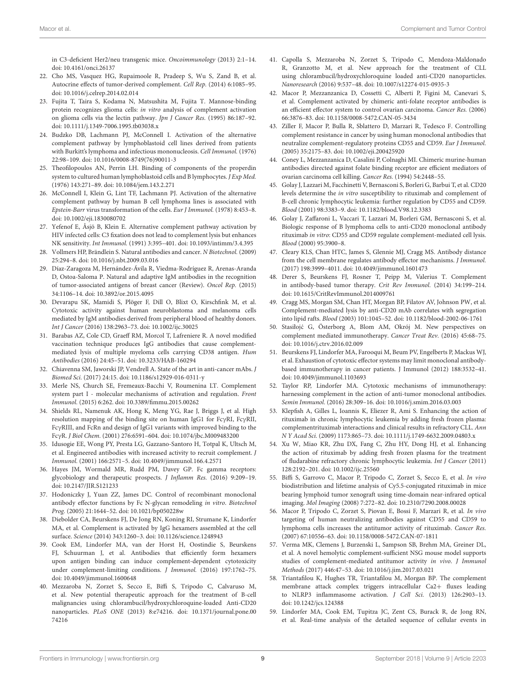in C3-deficient Her2/neu transgenic mice. Oncoimmunology (2013) 2:1–14. doi: [10.4161/onci.26137](https://doi.org/10.4161/onci.26137)

- <span id="page-8-0"></span>22. Cho MS, Vasquez HG, Rupaimoole R, Pradeep S, Wu S, Zand B, et al. Autocrine effects of tumor-derived complement. Cell Rep. (2014) 6:1085–95. doi: [10.1016/j.celrep.2014.02.014](https://doi.org/10.1016/j.celrep.2014.02.014)
- <span id="page-8-1"></span>23. Fujita T, Taira S, Kodama N, Matsushita M, Fujita T. Mannose-binding protein recognizes glioma cells: in vitro analysis of complement activation on glioma cells via the lectin pathway. Jpn J Cancer Res. (1995) 86:187–92. doi: [10.1111/j.1349-7006.1995.tb03038.x](https://doi.org/10.1111/j.1349-7006.1995.tb03038.x)
- <span id="page-8-2"></span>24. Budzko DB, Lachmann PJ, McConnell I. Activation of the alternative complement pathway by lymphoblastoid cell lines derived from patients with Burkitt's lymphoma and infectious mononucleosis. Cell Immunol. (1976) 22:98–109. doi: [10.1016/0008-8749\(76\)90011-3](https://doi.org/10.1016/0008-8749(76)90011-3)
- 25. Theofilopoulos AN, Perrin LH. Binding of components of the properdin system to cultured human lymphoblastoid cells and B lymphocytes. J Exp Med. (1976) 143:271–89. doi: [10.1084/jem.143.2.271](https://doi.org/10.1084/jem.143.2.271)
- <span id="page-8-3"></span>26. McConnell I, Klein G, Lint TF, Lachmann PJ. Activation of the alternative complement pathway by human B cell lymphoma lines is associated with Epstein-Barr virus transformation of the cells. Eur J Immunol. (1978) 8:453–8. doi: [10.1002/eji.1830080702](https://doi.org/10.1002/eji.1830080702)
- <span id="page-8-4"></span>27. Yefenof E, Åsjö B, Klein E. Alternative complement pathway activation by HIV infected cells: C3 fixation does not lead to complement lysis but enhances NK sensitivity. Int Immunol. (1991) 3:395–401. doi: [10.1093/intimm/3.4.395](https://doi.org/10.1093/intimm/3.4.395)
- <span id="page-8-5"></span>28. Vollmers HP, Brändlein S. Natural antibodies and cancer. N Biotechnol. (2009) 25:294–8. doi: [10.1016/j.nbt.2009.03.016](https://doi.org/10.1016/j.nbt.2009.03.016)
- <span id="page-8-6"></span>29. Díaz-Zaragoza M, Hernández-Ávila R, Viedma-Rodríguez R, Arenas-Aranda D, Ostoa-Saloma P. Natural and adaptive IgM antibodies in the recognition of tumor-associated antigens of breast cancer (Review). Oncol Rep. (2015) 34:1106–14. doi: [10.3892/or.2015.4095](https://doi.org/10.3892/or.2015.4095)
- <span id="page-8-7"></span>30. Devarapu SK, Mamidi S, Plöger F, Dill O, Blixt O, Kirschfink M, et al. Cytotoxic activity against human neuroblastoma and melanoma cells mediated by IgM antibodies derived from peripheral blood of healthy donors. Int J Cancer (2016) 138:2963–73. doi: [10.1002/ijc.30025](https://doi.org/10.1002/ijc.30025)
- <span id="page-8-8"></span>31. Barabas AZ, Cole CD, Graeff RM, Morcol T, Lafreniere R. A novel modified vaccination technique produces IgG antibodies that cause complementmediated lysis of multiple myeloma cells carrying CD38 antigen. Hum Antibodies (2016) 24:45–51. doi: [10.3233/HAB-160294](https://doi.org/10.3233/HAB-160294)
- <span id="page-8-9"></span>32. Chiavenna SM, Jaworski JP, Vendrell A. State of the art in anti-cancer mAbs. J Biomed Sci. (2017) 24:15. doi: [10.1186/s12929-016-0311-y](https://doi.org/10.1186/s12929-016-0311-y)
- <span id="page-8-10"></span>33. Merle NS, Church SE, Fremeaux-Bacchi V, Roumenina LT. Complement system part I - molecular mechanisms of activation and regulation. Front Immunol. (2015) 6:262. doi: [10.3389/fimmu.2015.00262](https://doi.org/10.3389/fimmu.2015.00262)
- <span id="page-8-11"></span>34. Shields RL, Namenuk AK, Hong K, Meng YG, Rae J, Briggs J, et al. High resolution mapping of the binding site on human IgG1 for FcγRI, FcγRII, FcγRIII, and FcRn and design of IgG1 variants with improved binding to the FcγR. J Biol Chem. (2001) 276:6591–604. doi: [10.1074/jbc.M009483200](https://doi.org/10.1074/jbc.M009483200)
- <span id="page-8-12"></span>35. Idusogie EE, Wong PY, Presta LG, Gazzano-Santoro H, Totpal K, Ultsch M, et al. Engineered antibodies with increased activity to recruit complement. J Immunol. (2001) 166:2571–5. doi: [10.4049/jimmunol.166.4.2571](https://doi.org/10.4049/jimmunol.166.4.2571)
- <span id="page-8-13"></span>36. Hayes JM, Wormald MR, Rudd PM, Davey GP. Fc gamma receptors: glycobiology and therapeutic prospects. J Inflamm Res. (2016) 9:209–19. doi: [10.2147/JIR.S121233](https://doi.org/10.2147/JIR.S121233)
- <span id="page-8-14"></span>37. Hodoniczky J, Yuan ZZ, James DC. Control of recombinant monoclonal antibody effector functions by Fc N-glycan remodeling in vitro. Biotechnol Prog. (2005) 21:1644–52. doi: [10.1021/bp050228w](https://doi.org/10.1021/bp050228w)
- <span id="page-8-15"></span>38. Diebolder CA, Beurskens FJ, De Jong RN, Koning RI, Strumane K, Lindorfer MA, et al. Complement is activated by IgG hexamers assembled at the cell surface. Science (2014) 343:1260–3. doi: [10.1126/science.1248943](https://doi.org/10.1126/science.1248943)
- <span id="page-8-16"></span>39. Cook EM, Lindorfer MA, van der Horst H, Oostindie S, Beurskens FJ, Schuurman J, et al. Antibodies that efficiently form hexamers upon antigen binding can induce complement-dependent cytotoxicity under complement-limiting conditions. J Immunol. (2016) 197:1762–75. doi: [10.4049/jimmunol.1600648](https://doi.org/10.4049/jimmunol.1600648)
- <span id="page-8-17"></span>40. Mezzaroba N, Zorzet S, Secco E, Biffi S, Tripodo C, Calvaruso M, et al. New potential therapeutic approach for the treatment of B-cell malignancies using chlorambucil/hydroxychloroquine-loaded Anti-CD20 nanoparticles. PLoS ONE [\(2013\) 8:e74216. doi: 10.1371/journal.pone.00](https://doi.org/10.1371/journal.pone.0074216) 74216
- <span id="page-8-18"></span>41. Capolla S, Mezzaroba N, Zorzet S, Tripodo C, Mendoza-Maldonado R, Granzotto M, et al. New approach for the treatment of CLL using chlorambucil/hydroxychloroquine loaded anti-CD20 nanoparticles. Nanoresearch (2016) 9:537–48. doi: [10.1007/s12274-015-0935-3](https://doi.org/10.1007/s12274-015-0935-3)
- <span id="page-8-19"></span>42. Macor P, Mezzanzanica D, Cossetti C, Alberti P, Figini M, Canevari S, et al. Complement activated by chimeric anti-folate receptor antibodies is an efficient effector system to control ovarian carcinoma. Cancer Res. (2006) 66:3876–83. doi: [10.1158/0008-5472.CAN-05-3434](https://doi.org/10.1158/0008-5472.CAN-05-3434)
- <span id="page-8-20"></span>43. Ziller F, Macor P, Bulla R, Sblattero D, Marzari R, Tedesco F. Controlling complement resistance in cancer by using human monoclonal antibodies that neutralize complement-regulatory proteins CD55 and CD59. Eur J Immunol. (2005) 35:2175–83. doi: [10.1002/eji.200425920](https://doi.org/10.1002/eji.200425920)
- <span id="page-8-21"></span>44. Coney L, Mezzanzanica D, Casalini P, Colnaghi MI. Chimeric murine-human antibodies directed against folate binding receptor are efficient mediators of ovarian carcinoma cell killing. Cancer Res. (1994) 54:2448–55.
- <span id="page-8-22"></span>45. Golay J, Lazzari M, Facchinetti V, Bernasconi S, Borleri G, Barbui T, et al. CD20 levels determine the in vitro susceptibility to rituximab and complement of B-cell chronic lymphocytic leukemia: further regulation by CD55 and CD59. Blood (2001) 98:3383–9. doi: [10.1182/blood.V98.12.3383](https://doi.org/10.1182/blood.V98.12.3383)
- <span id="page-8-23"></span>46. Golay J, Zaffaroni L, Vaccari T, Lazzari M, Borleri GM, Bernasconi S, et al. Biologic response of B lymphoma cells to anti-CD20 monoclonal antibody rituximab in vitro: CD55 and CD59 regulate complement-mediated cell lysis. Blood (2000) 95:3900–8.
- <span id="page-8-24"></span>47. Cleary KLS, Chan HTC, James S, Glennie MJ, Cragg MS. Antibody distance from the cell membrane regulates antibody effector mechanisms. J Immunol. (2017) 198:3999–4011. doi: [10.4049/jimmunol.1601473](https://doi.org/10.4049/jimmunol.1601473)
- <span id="page-8-25"></span>48. Derer S, Beurskens FJ, Rosner T, Peipp M, Valerius T. Complement in antibody-based tumor therapy. Crit Rev Immunol. (2014) 34:199–214. doi: [10.1615/CritRevImmunol.2014009761](https://doi.org/10.1615/CritRevImmunol.2014009761)
- <span id="page-8-26"></span>49. Cragg MS, Morgan SM, Chan HT, Morgan BP, Filatov AV, Johnson PW, et al. Complement-mediated lysis by anti-CD20 mAb correlates with segregation into lipid rafts. Blood (2003) 101:1045–52. doi: [10.1182/blood-2002-06-1761](https://doi.org/10.1182/blood-2002-06-1761)
- <span id="page-8-27"></span>50. Stasiłojć G, Österborg A, Blom AM, Okrój M. New perspectives on complement mediated immunotherapy. Cancer Treat Rev. (2016) 45:68–75. doi: [10.1016/j.ctrv.2016.02.009](https://doi.org/10.1016/j.ctrv.2016.02.009)
- <span id="page-8-28"></span>51. Beurskens FJ, Lindorfer MA, Farooqui M, Beum PV, Engelberts P, Mackus WJ, et al. Exhaustion of cytotoxic effector systems may limit monoclonal antibodybased immunotherapy in cancer patients. J Immunol (2012) 188:3532–41. doi: [10.4049/jimmunol.1103693](https://doi.org/10.4049/jimmunol.1103693)
- <span id="page-8-29"></span>52. Taylor RP, Lindorfer MA. Cytotoxic mechanisms of immunotherapy: harnessing complement in the action of anti-tumor monoclonal antibodies. Semin Immunol. (2016) 28:309–16. doi: [10.1016/j.smim.2016.03.003](https://doi.org/10.1016/j.smim.2016.03.003)
- <span id="page-8-30"></span>53. Klepfish A, Gilles L, Ioannis K, Eliezer R, Ami S. Enhancing the action of rituximab in chronic lymphocytic leukemia by adding fresh frozen plasma: complementrituximab interactions and clinical results in refractory CLL. Ann N Y Acad Sci. (2009) 1173:865–73. doi: [10.1111/j.1749-6632.2009.04803.x](https://doi.org/10.1111/j.1749-6632.2009.04803.x)
- <span id="page-8-31"></span>54. Xu W, Miao KR, Zhu DX, Fang C, Zhu HY, Dong HJ, et al. Enhancing the action of rituximab by adding fresh frozen plasma for the treatment of fludarabine refractory chronic lymphocytic leukemia. Int J Cancer (2011) 128:2192–201. doi: [10.1002/ijc.25560](https://doi.org/10.1002/ijc.25560)
- <span id="page-8-32"></span>55. Biffi S, Garrovo C, Macor P, Tripodo C, Zorzet S, Secco E, et al. In vivo biodistribution and lifetime analysis of Cy5.5-conjugated rituximab in mice bearing lymphoid tumor xenograft using time-domain near-infrared optical imaging. Mol Imaging (2008) 7:272–82. doi: [10.2310/7290.2008.00028](https://doi.org/10.2310/7290.2008.00028)
- <span id="page-8-33"></span>56. Macor P, Tripodo C, Zorzet S, Piovan E, Bossi F, Marzari R, et al. In vivo targeting of human neutralizing antibodies against CD55 and CD59 to lymphoma cells increases the antitumor activity of rituximab. Cancer Res. (2007) 67:10556–63. doi: [10.1158/0008-5472.CAN-07-1811](https://doi.org/10.1158/0008-5472.CAN-07-1811)
- <span id="page-8-34"></span>57. Verma MK, Clemens J, Burzenski L, Sampson SB, Brehm MA, Greiner DL, et al. A novel hemolytic complement-sufficient NSG mouse model supports studies of complement-mediated antitumor activity in vivo. J Immunol Methods (2017) 446:47–53. doi: [10.1016/j.jim.2017.03.021](https://doi.org/10.1016/j.jim.2017.03.021)
- <span id="page-8-35"></span>58. Triantafilou K, Hughes TR, Triantafilou M, Morgan BP. The complement membrane attack complex triggers intracellular Ca2+ fluxes leading to NLRP3 inflammasome activation. J Cell Sci. (2013) 126:2903–13. doi: [10.1242/jcs.124388](https://doi.org/10.1242/jcs.124388)
- <span id="page-8-36"></span>59. Lindorfer MA, Cook EM, Tupitza JC, Zent CS, Burack R, de Jong RN, et al. Real-time analysis of the detailed sequence of cellular events in